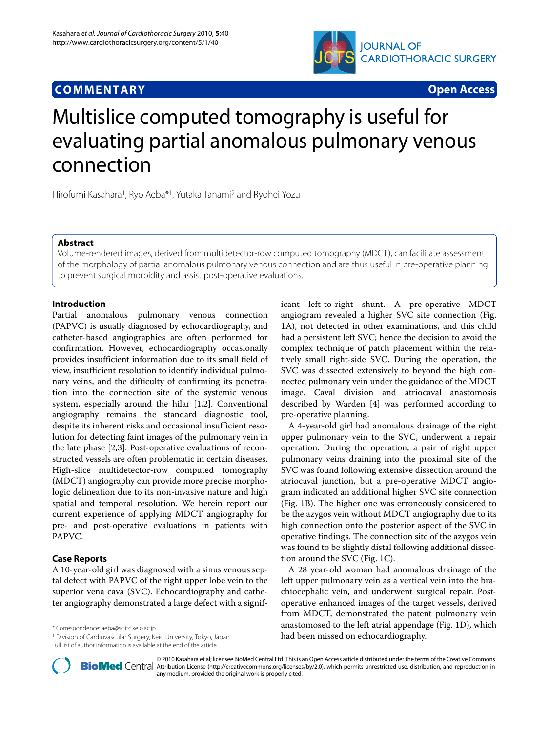



# Multislice computed tomography is useful for evaluating partial anomalous pulmonary venous connection

Hirofumi Kasahara<sup>1</sup>, Ryo Aeba<sup>\*1</sup>, Yutaka Tanami<sup>2</sup> and Ryohei Yozu<sup>1</sup>

## **Abstract**

Volume-rendered images, derived from multidetector-row computed tomography (MDCT), can facilitate assessment of the morphology of partial anomalous pulmonary venous connection and are thus useful in pre-operative planning to prevent surgical morbidity and assist post-operative evaluations.

## **Introduction**

Partial anomalous pulmonary venous connection (PAPVC) is usually diagnosed by echocardiography, and catheter-based angiographies are often performed for confirmation. However, echocardiography occasionally provides insufficient information due to its small field of view, insufficient resolution to identify individual pulmonary veins, and the difficulty of confirming its penetration into the connection site of the systemic venous system, especially around the hilar [\[1](#page-2-0),[2\]](#page-2-1). Conventional angiography remains the standard diagnostic tool, despite its inherent risks and occasional insufficient resolution for detecting faint images of the pulmonary vein in the late phase [\[2](#page-2-1),[3](#page-2-2)]. Post-operative evaluations of reconstructed vessels are often problematic in certain diseases. High-slice multidetector-row computed tomography (MDCT) angiography can provide more precise morphologic delineation due to its non-invasive nature and high spatial and temporal resolution. We herein report our current experience of applying MDCT angiography for pre- and post-operative evaluations in patients with PAPVC.

# **Case Reports**

A 10-year-old girl was diagnosed with a sinus venous septal defect with PAPVC of the right upper lobe vein to the superior vena cava (SVC). Echocardiography and catheter angiography demonstrated a large defect with a signif-

\* Correspondence: aeba@sc.itc.keio.ac.jp

1 Division of Cardiovascular Surgery, Keio University, Tokyo, Japan Full list of author information is available at the end of the article

icant left-to-right shunt. A pre-operative MDCT angiogram revealed a higher SVC site connection (Fig. [1A](#page-1-0)), not detected in other examinations, and this child had a persistent left SVC; hence the decision to avoid the complex technique of patch placement within the relatively small right-side SVC. During the operation, the SVC was dissected extensively to beyond the high connected pulmonary vein under the guidance of the MDCT image. Caval division and atriocaval anastomosis described by Warden [\[4](#page-2-3)] was performed according to pre-operative planning.

A 4-year-old girl had anomalous drainage of the right upper pulmonary vein to the SVC, underwent a repair operation. During the operation, a pair of right upper pulmonary veins draining into the proximal site of the SVC was found following extensive dissection around the atriocaval junction, but a pre-operative MDCT angiogram indicated an additional higher SVC site connection (Fig. [1B](#page-1-0)). The higher one was erroneously considered to be the azygos vein without MDCT angiography due to its high connection onto the posterior aspect of the SVC in operative findings. The connection site of the azygos vein was found to be slightly distal following additional dissection around the SVC (Fig. [1C](#page-1-0)).

A 28 year-old woman had anomalous drainage of the left upper pulmonary vein as a vertical vein into the brachiocephalic vein, and underwent surgical repair. Postoperative enhanced images of the target vessels, derived from MDCT, demonstrated the patent pulmonary vein anastomosed to the left atrial appendage (Fig. [1D](#page-1-0)), which had been missed on echocardiography.



2010 Kasahara et al; licensee [BioMed](http://www.biomedcentral.com/) Central Ltd. This is an Open Access article distributed under the terms of the Creative Commons (http://creativecommons.org/licenses/by/2.0), which permits unrestricted use, distributio any medium, provided the original work is properly cited.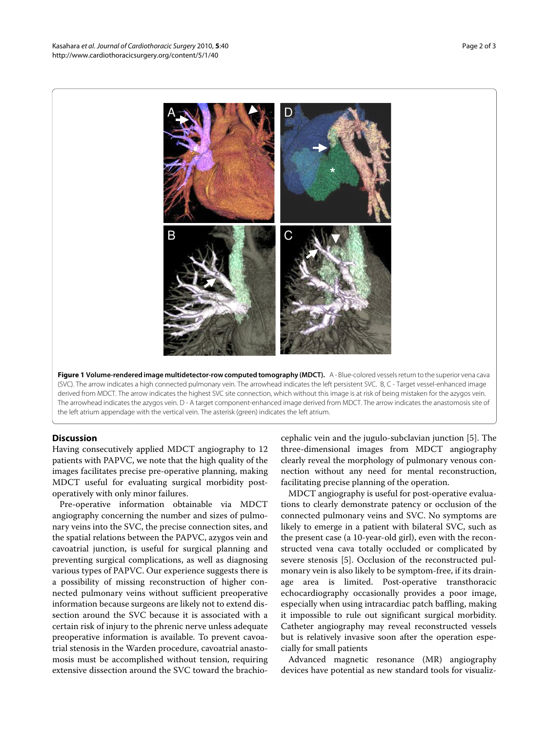<span id="page-1-0"></span>

**Figure 1 Volume-rendered image multidetector-row computed tomography (MDCT).** A - Blue-colored vessels return to the superior vena cava (SVC). The arrow indicates a high connected pulmonary vein. The arrowhead indicates the left persistent SVC. B, C - Target vessel-enhanced image derived from MDCT. The arrow indicates the highest SVC site connection, which without this image is at risk of being mistaken for the azygos vein. The arrowhead indicates the azygos vein. D - A target component-enhanced image derived from MDCT. The arrow indicates the anastomosis site of the left atrium appendage with the vertical vein. The asterisk (green) indicates the left atrium.

## **Discussion**

Having consecutively applied MDCT angiography to 12 patients with PAPVC, we note that the high quality of the images facilitates precise pre-operative planning, making MDCT useful for evaluating surgical morbidity postoperatively with only minor failures.

Pre-operative information obtainable via MDCT angiography concerning the number and sizes of pulmonary veins into the SVC, the precise connection sites, and the spatial relations between the PAPVC, azygos vein and cavoatrial junction, is useful for surgical planning and preventing surgical complications, as well as diagnosing various types of PAPVC. Our experience suggests there is a possibility of missing reconstruction of higher connected pulmonary veins without sufficient preoperative information because surgeons are likely not to extend dissection around the SVC because it is associated with a certain risk of injury to the phrenic nerve unless adequate preoperative information is available. To prevent cavoatrial stenosis in the Warden procedure, cavoatrial anastomosis must be accomplished without tension, requiring extensive dissection around the SVC toward the brachiocephalic vein and the jugulo-subclavian junction [\[5](#page-2-4)]. The three-dimensional images from MDCT angiography clearly reveal the morphology of pulmonary venous connection without any need for mental reconstruction, facilitating precise planning of the operation.

MDCT angiography is useful for post-operative evaluations to clearly demonstrate patency or occlusion of the connected pulmonary veins and SVC. No symptoms are likely to emerge in a patient with bilateral SVC, such as the present case (a 10-year-old girl), even with the reconstructed vena cava totally occluded or complicated by severe stenosis [\[5](#page-2-4)]. Occlusion of the reconstructed pulmonary vein is also likely to be symptom-free, if its drainage area is limited. Post-operative transthoracic echocardiography occasionally provides a poor image, especially when using intracardiac patch baffling, making it impossible to rule out significant surgical morbidity. Catheter angiography may reveal reconstructed vessels but is relatively invasive soon after the operation especially for small patients

Advanced magnetic resonance (MR) angiography devices have potential as new standard tools for visualiz